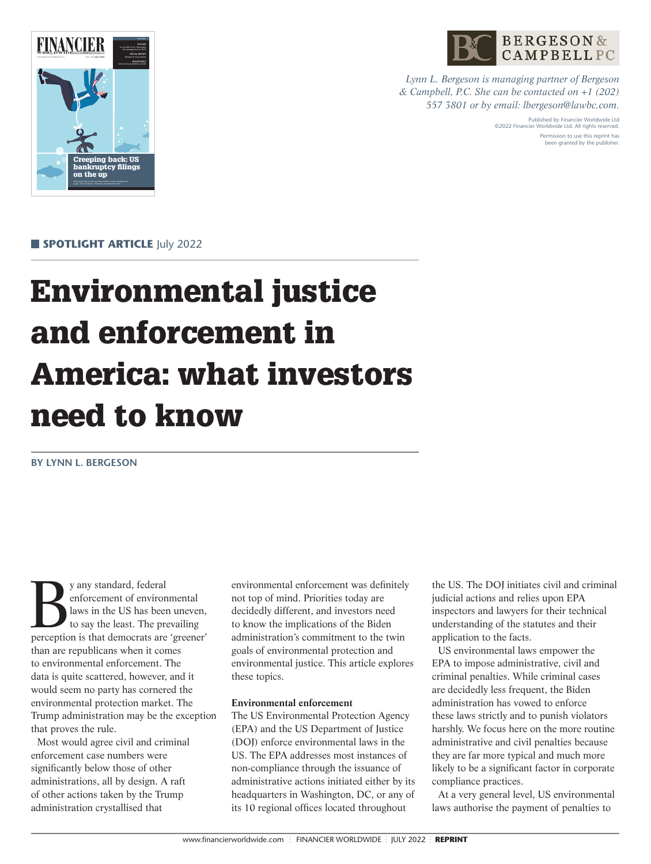

*Lynn L. Bergeson is managing partner of Bergeson & Campbell, P.C. She can be contacted on +1 (202) 557 3801 or by email: lbergeson@lawbc.com.*

> Published by Financier Worldwide Ltd ©2022 Financier Worldwide Ltd. All rights reserved. Permission to use this reprint has been granted by the publisher.



**SPOTLIGHT ARTICLE July 2022** 

# Environmental justice and enforcement in America: what investors need to know

**BY LYNN L. BERGESON**

get and the standard, federal enforcement of environmental laws in the US has been uneven, to say the least. The prevailing perception is that democrats are 'greener' enforcement of environmental laws in the US has been uneven, to say the least. The prevailing than are republicans when it comes to environmental enforcement. The data is quite scattered, however, and it would seem no party has cornered the environmental protection market. The Trump administration may be the exception that proves the rule.

Most would agree civil and criminal enforcement case numbers were significantly below those of other administrations, all by design. A raft of other actions taken by the Trump administration crystallised that

environmental enforcement was definitely not top of mind. Priorities today are decidedly different, and investors need to know the implications of the Biden administration's commitment to the twin goals of environmental protection and environmental justice. This article explores these topics.

### **Environmental enforcement**

The US Environmental Protection Agency (EPA) and the US Department of Justice (DOJ) enforce environmental laws in the US. The EPA addresses most instances of non-compliance through the issuance of administrative actions initiated either by its headquarters in Washington, DC, or any of its 10 regional offices located throughout

the US. The DOJ initiates civil and criminal judicial actions and relies upon EPA inspectors and lawyers for their technical understanding of the statutes and their application to the facts.

US environmental laws empower the EPA to impose administrative, civil and criminal penalties. While criminal cases are decidedly less frequent, the Biden administration has vowed to enforce these laws strictly and to punish violators harshly. We focus here on the more routine administrative and civil penalties because they are far more typical and much more likely to be a significant factor in corporate compliance practices.

At a very general level, US environmental laws authorise the payment of penalties to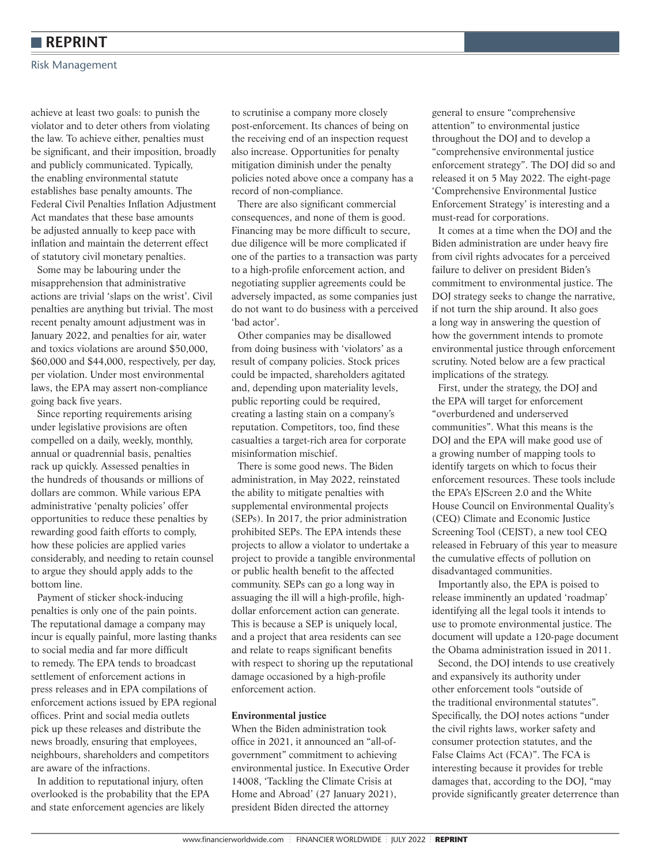# **REPRINT**

#### Risk Management

achieve at least two goals: to punish the violator and to deter others from violating the law. To achieve either, penalties must be significant, and their imposition, broadly and publicly communicated. Typically, the enabling environmental statute establishes base penalty amounts. The Federal Civil Penalties Inflation Adjustment Act mandates that these base amounts be adjusted annually to keep pace with inflation and maintain the deterrent effect of statutory civil monetary penalties.

Some may be labouring under the misapprehension that administrative actions are trivial 'slaps on the wrist'. Civil penalties are anything but trivial. The most recent penalty amount adjustment was in January 2022, and penalties for air, water and toxics violations are around \$50,000, \$60,000 and \$44,000, respectively, per day, per violation. Under most environmental laws, the EPA may assert non-compliance going back five years.

Since reporting requirements arising under legislative provisions are often compelled on a daily, weekly, monthly, annual or quadrennial basis, penalties rack up quickly. Assessed penalties in the hundreds of thousands or millions of dollars are common. While various EPA administrative 'penalty policies' offer opportunities to reduce these penalties by rewarding good faith efforts to comply, how these policies are applied varies considerably, and needing to retain counsel to argue they should apply adds to the bottom line.

Payment of sticker shock-inducing penalties is only one of the pain points. The reputational damage a company may incur is equally painful, more lasting thanks to social media and far more difficult to remedy. The EPA tends to broadcast settlement of enforcement actions in press releases and in EPA compilations of enforcement actions issued by EPA regional offices. Print and social media outlets pick up these releases and distribute the news broadly, ensuring that employees, neighbours, shareholders and competitors are aware of the infractions.

In addition to reputational injury, often overlooked is the probability that the EPA and state enforcement agencies are likely

to scrutinise a company more closely post-enforcement. Its chances of being on the receiving end of an inspection request also increase. Opportunities for penalty mitigation diminish under the penalty policies noted above once a company has a record of non-compliance.

There are also significant commercial consequences, and none of them is good. Financing may be more difficult to secure, due diligence will be more complicated if one of the parties to a transaction was party to a high-profile enforcement action, and negotiating supplier agreements could be adversely impacted, as some companies just do not want to do business with a perceived 'bad actor'.

Other companies may be disallowed from doing business with 'violators' as a result of company policies. Stock prices could be impacted, shareholders agitated and, depending upon materiality levels, public reporting could be required, creating a lasting stain on a company's reputation. Competitors, too, find these casualties a target-rich area for corporate misinformation mischief.

There is some good news. The Biden administration, in May 2022, reinstated the ability to mitigate penalties with supplemental environmental projects (SEPs). In 2017, the prior administration prohibited SEPs. The EPA intends these projects to allow a violator to undertake a project to provide a tangible environmental or public health benefit to the affected community. SEPs can go a long way in assuaging the ill will a high-profile, highdollar enforcement action can generate. This is because a SEP is uniquely local, and a project that area residents can see and relate to reaps significant benefits with respect to shoring up the reputational damage occasioned by a high-profile enforcement action.

## **Environmental justice**

When the Biden administration took office in 2021, it announced an "all-ofgovernment" commitment to achieving environmental justice. In Executive Order 14008, 'Tackling the Climate Crisis at Home and Abroad' (27 January 2021), president Biden directed the attorney

general to ensure "comprehensive attention" to environmental justice throughout the DOJ and to develop a "comprehensive environmental justice enforcement strategy". The DOJ did so and released it on 5 May 2022. The eight-page 'Comprehensive Environmental Justice Enforcement Strategy' is interesting and a must-read for corporations.

It comes at a time when the DOJ and the Biden administration are under heavy fire from civil rights advocates for a perceived failure to deliver on president Biden's commitment to environmental justice. The DOJ strategy seeks to change the narrative, if not turn the ship around. It also goes a long way in answering the question of how the government intends to promote environmental justice through enforcement scrutiny. Noted below are a few practical implications of the strategy.

First, under the strategy, the DOJ and the EPA will target for enforcement "overburdened and underserved communities". What this means is the DOJ and the EPA will make good use of a growing number of mapping tools to identify targets on which to focus their enforcement resources. These tools include the EPA's EJScreen 2.0 and the White House Council on Environmental Quality's (CEQ) Climate and Economic Justice Screening Tool (CEJST), a new tool CEQ released in February of this year to measure the cumulative effects of pollution on disadvantaged communities.

Importantly also, the EPA is poised to release imminently an updated 'roadmap' identifying all the legal tools it intends to use to promote environmental justice. The document will update a 120-page document the Obama administration issued in 2011.

Second, the DOJ intends to use creatively and expansively its authority under other enforcement tools "outside of the traditional environmental statutes". Specifically, the DOJ notes actions "under the civil rights laws, worker safety and consumer protection statutes, and the False Claims Act (FCA)". The FCA is interesting because it provides for treble damages that, according to the DOJ, "may provide significantly greater deterrence than